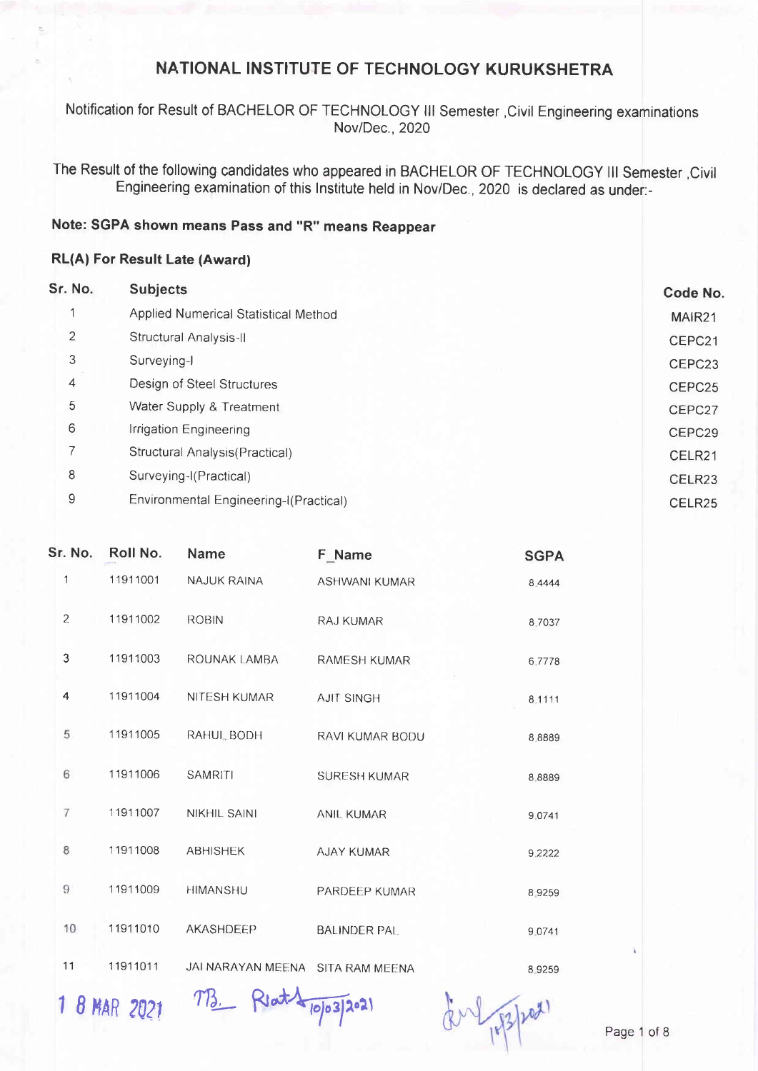Notification for Result of BACHELOR OF TECHNOLOGY III Semester , Civil Engineering examinations Nov/Dec., 2020

The Result of the following candidates who appeared in BACHELOR OF TECHNOLOGY III Semester , Civil Engineering examination of this Institute held in Nov/Dec., 2020 is declared as under:-

#### Note: SGPA shown means Pass and "R" means Reappear

#### **RL(A) For Result Late (Award)**

| Sr. No.        | <b>Subjects</b>                        | Code No.           |
|----------------|----------------------------------------|--------------------|
| 4              | Applied Numerical Statistical Method   | MAIR <sub>21</sub> |
| $\overline{2}$ | Structural Analysis-II                 | CEPC21             |
| 3              | Surveying-I                            | CEPC <sub>23</sub> |
| 4              | Design of Steel Structures             | CEPC25             |
| 5              | Water Supply & Treatment               | CEPC27             |
| 6              | Irrigation Engineering                 | CEPC29             |
| $\overline{ }$ | Structural Analysis(Practical)         | CELR <sub>21</sub> |
| 8              | Surveying-I(Practical)                 | CELR <sub>23</sub> |
| 9              | Environmental Engineering-I(Practical) | CELR <sub>25</sub> |

| Sr. No. | Roll No. | Name                             | F Name               | <b>SGPA</b> |
|---------|----------|----------------------------------|----------------------|-------------|
| 1       | 11911001 | <b>NAJUK RAINA</b>               | <b>ASHWANI KUMAR</b> | 8.4444      |
| 2       | 11911002 | <b>ROBIN</b>                     | <b>RAJ KUMAR</b>     | 8.7037      |
| 3       | 11911003 | ROUNAK LAMBA                     | <b>RAMESH KUMAR</b>  | 6.7778      |
| 4       | 11911004 | <b>NITESH KUMAR</b>              | <b>AJIT SINGH</b>    | 8.1111      |
| 5       | 11911005 | RAHUL BODH                       | RAVI KUMAR BODU      | 8.8889      |
| 6       | 11911006 | <b>SAMRITI</b>                   | <b>SURESH KUMAR</b>  | 8.8889      |
| 7       | 11911007 | <b>NIKHIL SAINI</b>              | <b>ANIL KUMAR</b>    | 9.0741      |
| 8       | 11911008 | <b>ABHISHEK</b>                  | AJAY KUMAR           | 9.2222      |
| 9       | 11911009 | <b>HIMANSHU</b>                  | PARDEEP KUMAR        | 8.9259      |
| 10      | 11911010 | AKASHDEEP                        | <b>BALINDER PAL</b>  | 9.0741      |
| 11      | 11911011 | JAI NARAYAN MEENA SITA RAM MEENA |                      | 89259       |

1 8 MAR 2021 MB. Reat 4 10/03/2021

En pp pot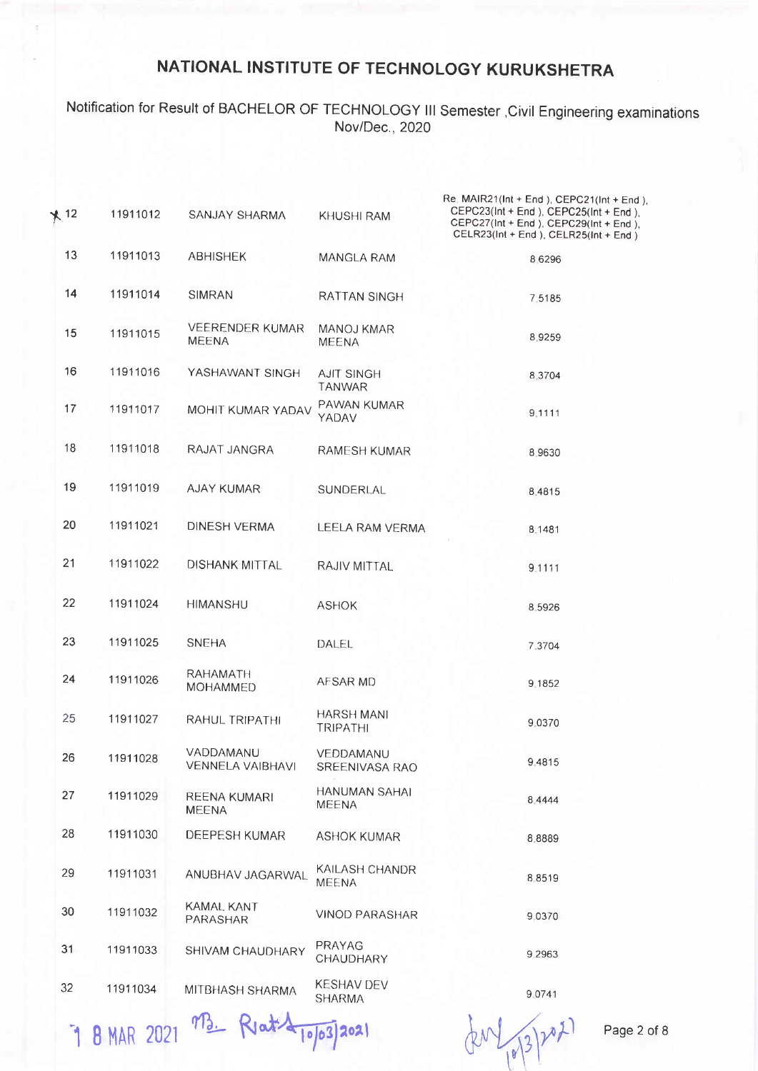## Notification for Result of BACHELOR OF TECHNOLOGY III Semester , Civil Engineering examinations Nov/Dec., 2020

| $*12$ | 11911012 | SANJAY SHARMA                          | KHUSHI RAM                         | Re. MAIR21(Int + End), CEPC21(Int + End),<br>CEPC23(Int + End), CEPC25(Int + End),<br>CEPC27(Int + End), CEPC29(Int + End),<br>CELR23(Int + End ), CELR25(Int + End ) |
|-------|----------|----------------------------------------|------------------------------------|-----------------------------------------------------------------------------------------------------------------------------------------------------------------------|
| 13    | 11911013 | <b>ABHISHEK</b>                        | MANGLA RAM                         | 8.6296                                                                                                                                                                |
| 14    | 11911014 | <b>SIMRAN</b>                          | RATTAN SINGH                       | 7,5185                                                                                                                                                                |
| 15    | 11911015 | <b>VEERENDER KUMAR</b><br><b>MEENA</b> | <b>MANOJ KMAR</b><br><b>MEENA</b>  | 8.9259                                                                                                                                                                |
| 16    | 11911016 | YASHAWANT SINGH                        | <b>AJIT SINGH</b><br><b>TANWAR</b> | 8.3704                                                                                                                                                                |
| 17    | 11911017 | MOHIT KUMAR YADAV                      | PAWAN KUMAR<br>YADAV               | 9.1111                                                                                                                                                                |
| 18    | 11911018 | RAJAT JANGRA                           | <b>RAMESH KUMAR</b>                | 8 9 6 3 0                                                                                                                                                             |
| 19    | 11911019 | <b>AJAY KUMAR</b>                      | SUNDERLAL                          | 8.4815                                                                                                                                                                |
| 20    | 11911021 | <b>DINESH VERMA</b>                    | LEELA RAM VERMA                    | 8.1481                                                                                                                                                                |
| 21    | 11911022 | <b>DISHANK MITTAL</b>                  | RAJIV MITTAL                       | 9.1111                                                                                                                                                                |
| 22    | 11911024 | <b>HIMANSHU</b>                        | <b>ASHOK</b>                       | 8.5926                                                                                                                                                                |
| 23    | 11911025 | <b>SNEHA</b>                           | DALEL                              | 7.3704                                                                                                                                                                |
| 24    | 11911026 | RAHAMATH<br><b>MOHAMMED</b>            | AFSAR MD                           | 9.1852                                                                                                                                                                |
| 25    | 11911027 | RAHUL TRIPATHI                         | HARSH MANI<br><b>TRIPATHI</b>      | 9.0370                                                                                                                                                                |
| 26    | 11911028 | VADDAMANU<br>VENNELA VAIBHAVI          | VEDDAMANU<br>SREENIVASA RAO        | 9 48 15                                                                                                                                                               |
| 27    | 11911029 | <b>REENA KUMARI</b><br><b>MEENA</b>    | HANUMAN SAHAI<br><b>MEENA</b>      | 8 4 4 4 4                                                                                                                                                             |
| 28    | 11911030 | DEEPESH KUMAR                          | <b>ASHOK KUMAR</b>                 | 8.8889                                                                                                                                                                |
| 29    | 11911031 | ANUBHAV JAGARWAL                       | KAILASH CHANDR<br><b>MEENA</b>     | 8.8519                                                                                                                                                                |
| 30    | 11911032 | KAMAL KANT<br>PARASHAR                 | <b>VINOD PARASHAR</b>              | 9.0370                                                                                                                                                                |
| 31    | 11911033 | SHIVAM CHAUDHARY                       | PRAYAG<br>CHAUDHARY                | 9.2963                                                                                                                                                                |
| 32    | 11911034 | MITBHASH SHARMA                        | KESHAV DEV<br><b>SHARMA</b>        | 9.0741                                                                                                                                                                |
|       |          |                                        |                                    |                                                                                                                                                                       |

7 8 MAR 2021 M3. Reat 4 10/03/2021

 $(2012)$ 

Page 2 of 8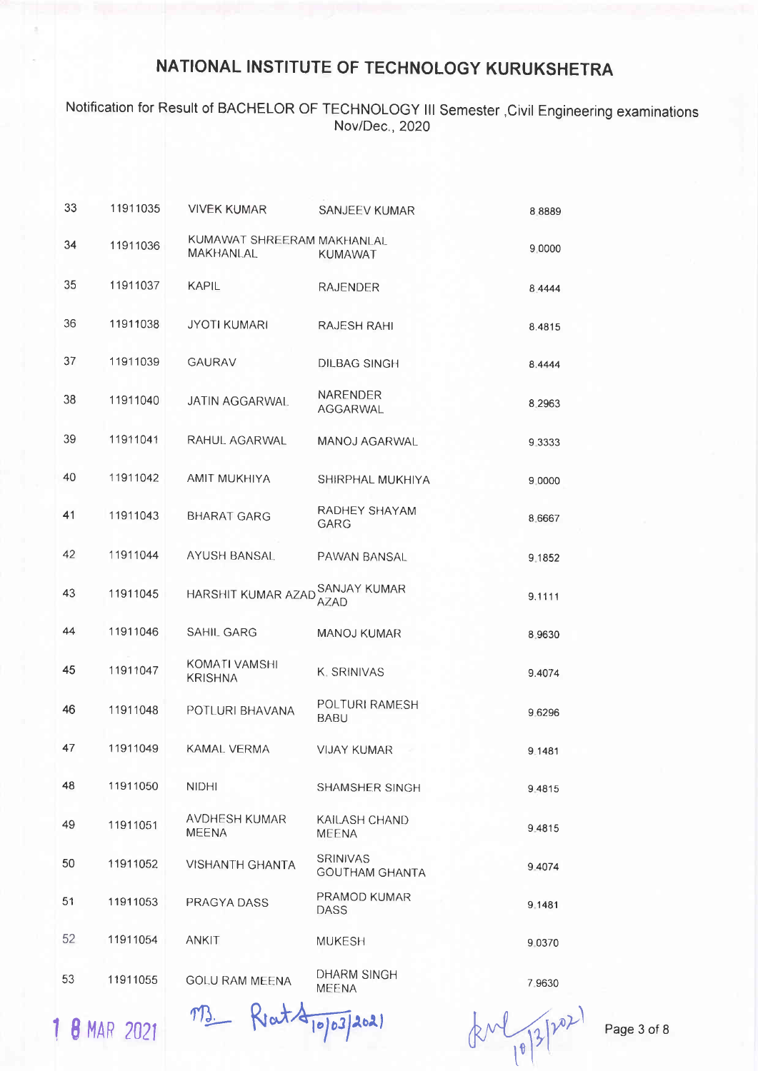## Notification for Result of BACHELOR OF TECHNOLOGY lll Semester ,Civil Engineering examinations Nov/Dec. ,2020

| 33 | 11911035 | <b>VIVEK KUMAR</b>                      | <b>SANJEEV KUMAR</b>                     | 8 8 8 8 9   |
|----|----------|-----------------------------------------|------------------------------------------|-------------|
| 34 | 11911036 | KUMAWAT SHREERAM MAKHANLAL<br>MAKHANLAL | <b>KUMAWAT</b>                           | 9.0000      |
| 35 | 11911037 | <b>KAPIL</b>                            | <b>RAJENDER</b>                          | 8.4444      |
| 36 | 11911038 | <b>JYOTI KUMARI</b>                     | <b>RAJESH RAHI</b>                       | 8.4815      |
| 37 | 11911039 | <b>GAURAV</b>                           | <b>DILBAG SINGH</b>                      | 8.4444      |
| 38 | 11911040 | <b>JATIN AGGARWAL</b>                   | NARENDER<br><b>AGGARWAL</b>              | 8.2963      |
| 39 | 11911041 | RAHUL AGARWAL                           | MANOJ AGARWAL                            | 9 3 3 3 3 3 |
| 40 | 11911042 | AMIT MUKHIYA                            | SHIRPHAL MUKHIYA                         | 9 0000      |
| 41 | 11911043 | <b>BHARAT GARG</b>                      | RADHEY SHAYAM<br>GARG                    | 8.6667      |
| 42 | 11911044 | AYUSH BANSAL.                           | PAWAN BANSAL                             | 9.1852      |
| 43 | 11911045 | HARSHIT KUMAR AZAD                      | SANJAY KUMAR<br><b>AZAD</b>              | 9.1111      |
| 44 | 11911046 | SAHIL GARG                              | <b>MANOJ KUMAR</b>                       | 8.9630      |
| 45 | 11911047 | KOMATI VAMSHI<br><b>KRISHNA</b>         | K. SRINIVAS                              | 9.4074      |
| 46 | 11911048 | POTLURI BHAVANA                         | POLTURI RAMESH<br><b>BABU</b>            | 9.6296      |
| 47 | 11911049 | <b>KAMAL VERMA</b>                      | <b>VIJAY KUMAR</b>                       | 9.1481      |
| 48 | 11911050 | <b>NIDHI</b>                            | SHAMSHER SINGH                           | 94815       |
| 49 | 11911051 | <b>AVDHESH KUMAR</b><br><b>MEENA</b>    | KAILASH CHAND<br><b>MEENA</b>            | 9.4815      |
| 50 | 11911052 | <b>VISHANTH GHANTA</b>                  | <b>SRINIVAS</b><br><b>GOUTHAM GHANTA</b> | 9.4074      |
| 51 | 11911053 | PRAGYA DASS                             | PRAMOD KUMAR<br><b>DASS</b>              | 9.1481      |
| 52 | 11911054 | <b>ANKIT</b>                            | <b>MUKESH</b>                            | 9.0370      |
| 53 | 11911055 | <b>GOLU RAM MEENA</b>                   | DHARM SINGH<br>MEENA                     | 7,9630      |

1 8 MAR 2021

 $773.$  Reat App 3/2021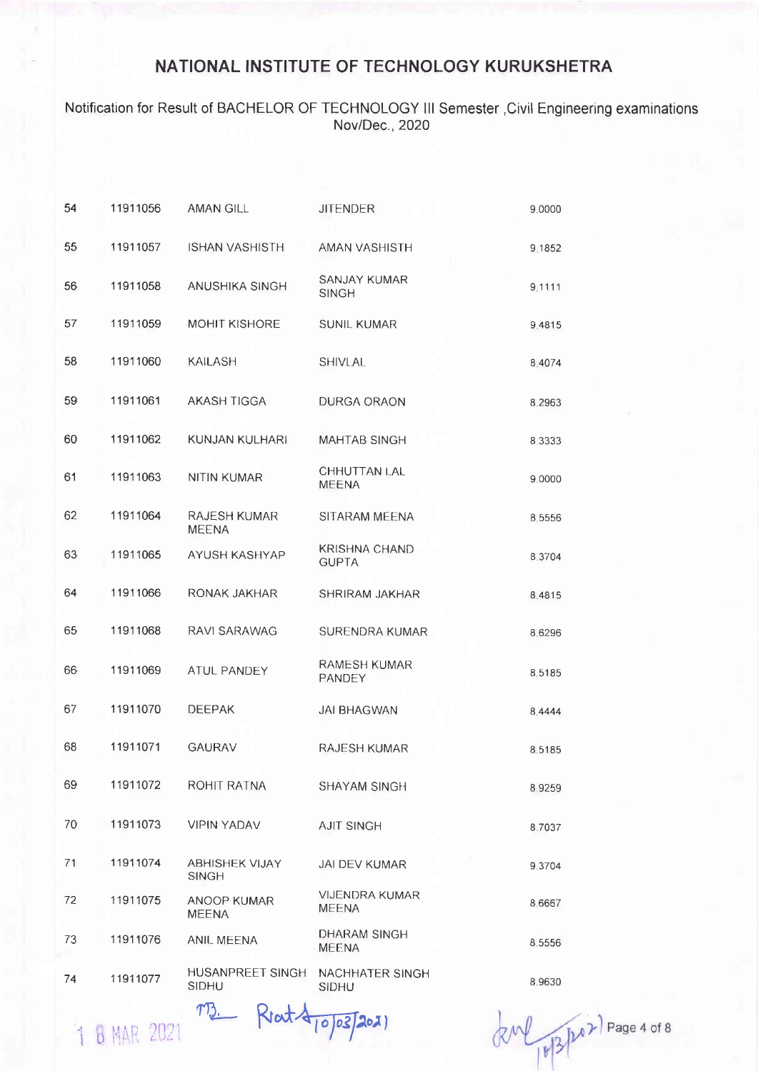#### Notification for Result of BACHELOR OF TECHNOLOGY III Semester , Civil Engineering examinations Nov/Dec., 2020

| 54 | 11911056 | <b>AMAN GILL</b>                      | <b>JITENDER</b>                       | 9.0000    |
|----|----------|---------------------------------------|---------------------------------------|-----------|
| 55 | 11911057 | <b>ISHAN VASHISTH</b>                 | <b>AMAN VASHISTH</b>                  | 9.1852    |
| 56 | 11911058 | ANUSHIKA SINGH                        | <b>SANJAY KUMAR</b><br><b>SINGH</b>   | 9.1111    |
| 57 | 11911059 | <b>MOHIT KISHORE</b>                  | <b>SUNIL KUMAR</b>                    | 9.4815    |
| 58 | 11911060 | <b>KAILASH</b>                        | <b>SHIVLAL</b>                        | 8.4074    |
| 59 | 11911061 | <b>AKASH TIGGA</b>                    | DURGA ORAON                           | 8.2963    |
| 60 | 11911062 | KUNJAN KULHARI                        | <b>MAHTAB SINGH</b>                   | 8.3333    |
| 61 | 11911063 | <b>NITIN KUMAR</b>                    | CHHUTTAN LAL<br><b>MEENA</b>          | 9.0000    |
| 62 | 11911064 | RAJESH KUMAR<br><b>MEENA</b>          | SITARAM MEENA                         | 8.5556    |
| 63 | 11911065 | AYUSH KASHYAP                         | <b>KRISHNA CHAND</b><br><b>GUPTA</b>  | 8.3704    |
| 64 | 11911066 | RONAK JAKHAR                          | SHRIRAM JAKHAR                        | 8.4815    |
| 65 | 11911068 | RAVI SARAWAG                          | SURENDRA KUMAR                        | 8.6296    |
| 66 | 11911069 | ATUL PANDEY                           | <b>RAMESH KUMAR</b><br>PANDEY         | 8.5185    |
| 67 | 11911070 | <b>DEEPAK</b>                         | <b>JAI BHAGWAN</b>                    | 8 4 4 4 4 |
| 68 | 11911071 | <b>GAURAV</b>                         | <b>RAJESH KUMAR</b>                   | 85185     |
| 69 | 11911072 | ROHIT RATNA                           | SHAYAM SINGH                          | 8.9259    |
| 70 | 11911073 | <b>VIPIN YADAV</b>                    | <b>AJIT SINGH</b>                     | 8.7037    |
| 71 | 11911074 | <b>ABHISHEK VIJAY</b><br><b>SINGH</b> | JAI DEV KUMAR                         | 9.3704    |
| 72 | 11911075 | ANOOP KUMAR<br><b>MEENA</b>           | <b>VIJENDRA KUMAR</b><br><b>MEENA</b> | 8.6667    |
| 73 | 11911076 | ANIL MEENA                            | DHARAM SINGH<br><b>MEENA</b>          | 8.5556    |
| 74 | 11911077 | HUSANPREET SINGH<br><b>SIDHU</b>      | NACHHATER SINGH<br><b>SIDHU</b>       | 8.9630    |

1 8 MAR 2021

 $TQ$ 

Rrat 10/03/2021

 $RM_{18}^{3}$   $h^{02}$  Page 4 of 8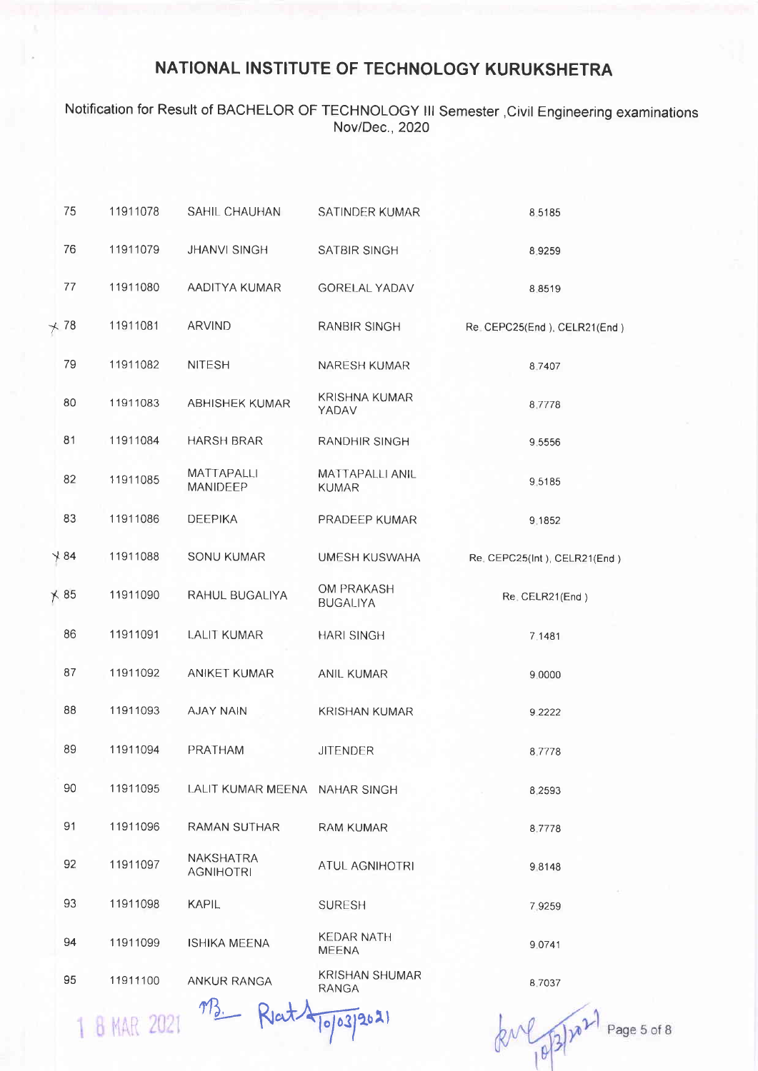## Notification for Result of BACHELOR OF TECHNOLOGY III Semester , Civil Engineering examinations Nov/Dec., 2020

| 75              | 11911078 | SAHIL CHAUHAN                        | SATINDER KUMAR                        | 8,5185                         |
|-----------------|----------|--------------------------------------|---------------------------------------|--------------------------------|
| 76              | 11911079 | <b>JHANVI SINGH</b>                  | SATBIR SINGH                          | 8.9259                         |
| 77              | 11911080 | AADITYA KUMAR                        | <b>GORELAL YADAV</b>                  | 8.8519                         |
| $+78$           | 11911081 | <b>ARVIND</b>                        | <b>RANBIR SINGH</b>                   | Re. CEPC25(End ), CELR21(End ) |
| 79              | 11911082 | <b>NITESH</b>                        | NARESH KUMAR                          | 8.7407                         |
| 80              | 11911083 | ABHISHEK KUMAR                       | <b>KRISHNA KUMAR</b><br>YADAV         | 8,7778                         |
| 81              | 11911084 | <b>HARSH BRAR</b>                    | RANDHIR SINGH                         | 9.5556                         |
| 82              | 11911085 | MATTAPALLI<br>MANIDEEP               | MATTAPALLI ANIL<br><b>KUMAR</b>       | 9,5185                         |
| 83              | 11911086 | <b>DEEPIKA</b>                       | PRADEEP KUMAR                         | 9.1852                         |
| $\frac{1}{2}84$ | 11911088 | SONU KUMAR                           | <b>UMESH KUSWAHA</b>                  | Re. CEPC25(Int), CELR21(End)   |
| $\times 85$     | 11911090 | RAHUL BUGALIYA                       | OM PRAKASH<br><b>BUGALIYA</b>         | Re. CELR21(End)                |
| 86              | 11911091 | <b>LALIT KUMAR</b>                   | <b>HARI SINGH</b>                     | 7.1481                         |
| 87              | 11911092 | ANIKET KUMAR                         | ANIL KUMAR                            | 9.0000                         |
| 88              | 11911093 | <b>AJAY NAIN</b>                     | <b>KRISHAN KUMAR</b>                  | 9.2222                         |
| 89              | 11911094 | PRATHAM                              | <b>JITENDER</b>                       | 8,7778                         |
| 90              | 11911095 | LALIT KUMAR MEENA NAHAR SINGH        |                                       | 8.2593                         |
| 91              | 11911096 | <b>RAMAN SUTHAR</b>                  | <b>RAM KUMAR</b>                      | 8.7778                         |
| 92              | 11911097 | <b>NAKSHATRA</b><br><b>AGNIHOTRI</b> | ATUL AGNIHOTRI                        | 98148                          |
| 93              | 11911098 | <b>KAPIL</b>                         | <b>SURESH</b>                         | 7.9259                         |
| 94              | 11911099 | <b>ISHIKA MEENA</b>                  | <b>KEDAR NATH</b><br><b>MEENA</b>     | 9.0741                         |
| 95              | 11911100 | ANKUR RANGA                          | <b>KRISHAN SHUMAR</b><br><b>RANGA</b> | 8.7037                         |
|                 |          | mz<br>$D_{14}$                       |                                       |                                |

1 8 MAR 2021

2021  $\bullet$ ۱۵.

Page 5 of 8  $k^{\mu}$   $(0,3)^n$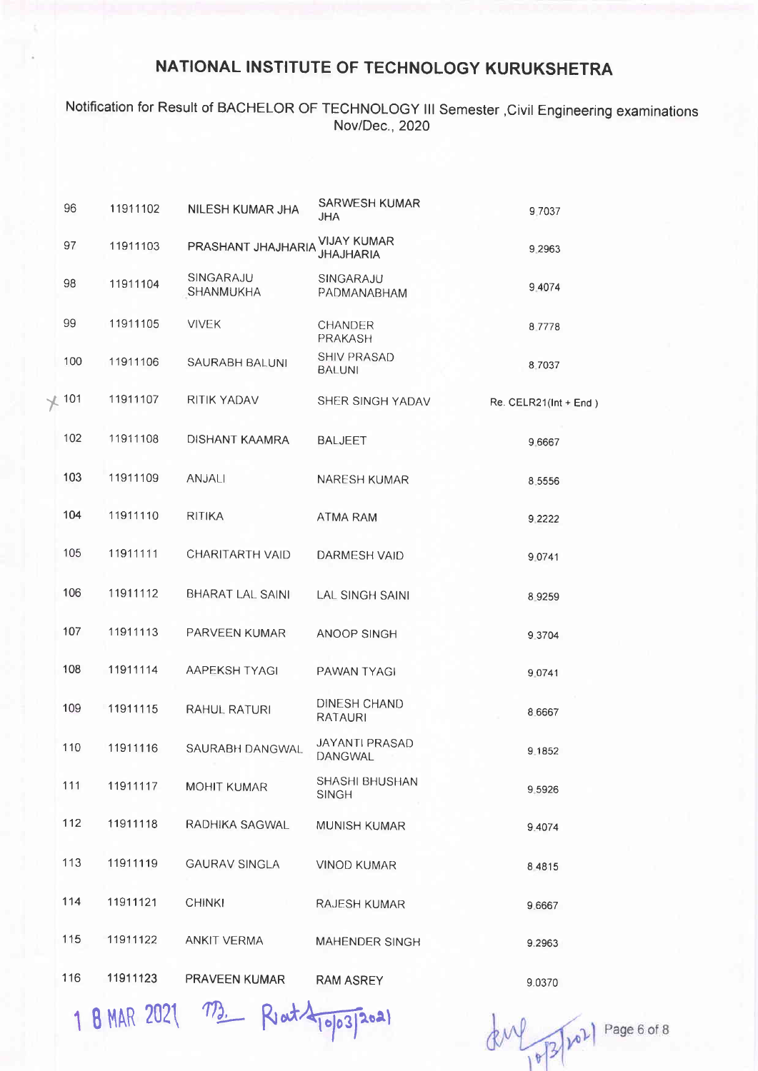Notification for Result of BACHELOR OF TECHNOLOGY lll Semester ,Civil Engineering examinations Nov/Dec., 2020

| 96  | 11911102 | <b>NILESH KUMAR JHA</b>       | <b>SARWESH KUMAR</b><br><b>JHA</b>     | 9.7037                |
|-----|----------|-------------------------------|----------------------------------------|-----------------------|
| 97  | 11911103 | PRASHANT JHAJHARIA            | <b>VIJAY KUMAR</b><br><b>JHAJHARIA</b> | 9.2963                |
| 98  | 11911104 | SINGARAJU<br><b>SHANMUKHA</b> | SINGARAJU<br>PADMANABHAM               | 9 40 74               |
| 99  | 11911105 | <b>VIVEK</b>                  | CHANDER<br>PRAKASH                     | 87778                 |
| 100 | 11911106 | <b>SAURABH BALUNI</b>         | <b>SHIV PRASAD</b><br><b>BALUNI</b>    | 8.7037                |
| 101 | 11911107 | RITIK YADAV                   | SHER SINGH YADAV                       | Re. CELR21(Int + End) |
| 102 | 11911108 | DISHANT KAAMRA                | <b>BALJEET</b>                         | 9.6667                |
| 103 | 11911109 | <b>ANJALI</b>                 | <b>NARESH KUMAR</b>                    | 8.5556                |
| 104 | 11911110 | <b>RITIKA</b>                 | ATMA RAM                               | 9 2 2 2 2             |
| 105 | 11911111 | CHARITARTH VAID               | DARMESH VAID                           | 9.0741                |
| 106 | 11911112 | <b>BHARAT LAL SAINI</b>       | <b>LAL SINGH SAINI</b>                 | 89259                 |
| 107 | 11911113 | PARVEEN KUMAR                 | <b>ANOOP SINGH</b>                     | 9.3704                |
| 108 | 11911114 | AAPEKSH TYAGI                 | PAWAN TYAGI                            | 9.0741                |
| 109 | 11911115 | RAHUL RATURI                  | DINESH CHAND<br>RATAURI                | 8.6667                |
| 110 | 11911116 | SAURABH DANGWAL               | JAYANTI PRASAD<br>DANGWAL              | 9.1852                |
| 111 | 11911117 | <b>MOHIT KUMAR</b>            | SHASHI BHUSHAN<br><b>SINGH</b>         | 9 5 9 2 6             |
| 112 | 11911118 | RADHIKA SAGWAL                | <b>MUNISH KUMAR</b>                    | 9.4074                |
| 113 | 11911119 | <b>GAURAV SINGLA</b>          | <b>VINOD KUMAR</b>                     | 8 4 8 1 5             |
| 114 | 11911121 | <b>CHINKI</b>                 | RAJESH KUMAR                           | 9.6667                |
| 115 | 11911122 | <b>ANKIT VERMA</b>            | <b>MAHENDER SINGH</b>                  | 9.2963                |
| 116 | 11911123 | <b>PRAVEEN KUMAR</b>          | <b>RAM ASREY</b>                       | 9.0370                |

1 B MAR 2021 M. Reat 4003/2021

 $dM_{10}^{2}$   $10^{2}$   $^{102}$  Page 6 of 8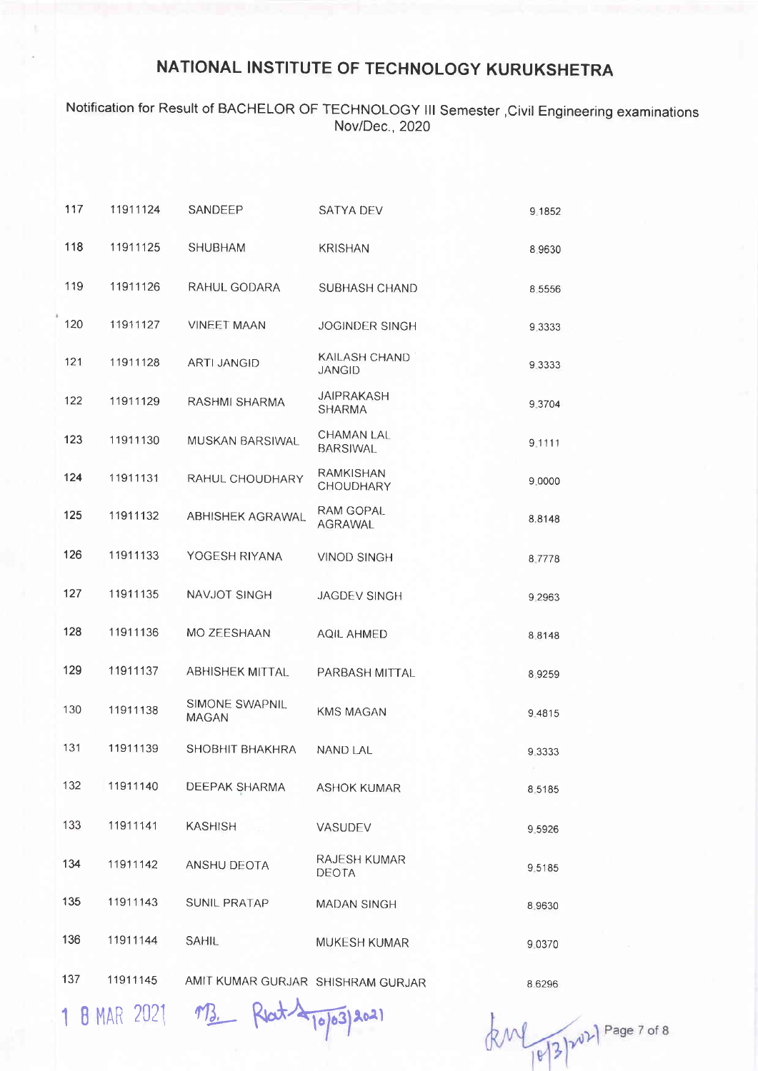### Notification for Result of BACHELOR OF TECHNOLOGY lll Semester ,Civil Engineering examinations Nov/Dec. ,2020

| 117 | 11911124 | SANDEEP                           | <b>SATYA DEV</b>                     | 9.1852    |
|-----|----------|-----------------------------------|--------------------------------------|-----------|
| 118 | 11911125 | <b>SHUBHAM</b>                    | <b>KRISHAN</b>                       | 8.9630    |
| 119 | 11911126 | RAHUL GODARA                      | SUBHASH CHAND                        | 8 5 5 5 6 |
| 120 | 11911127 | <b>VINEET MAAN</b>                | <b>JOGINDER SINGH</b>                | 9.3333    |
| 121 | 11911128 | <b>ARTI JANGID</b>                | KAILASH CHAND<br><b>JANGID</b>       | 9.3333    |
| 122 | 11911129 | RASHMI SHARMA                     | <b>JAIPRAKASH</b><br><b>SHARMA</b>   | 9.3704    |
| 123 | 11911130 | MUSKAN BARSIWAL                   | <b>CHAMAN LAL</b><br><b>BARSIWAL</b> | 9.1111    |
| 124 | 11911131 | RAHUL CHOUDHARY                   | <b>RAMKISHAN</b><br>CHOUDHARY        | 9.0000    |
| 125 | 11911132 | <b>ABHISHEK AGRAWAL</b>           | <b>RAM GOPAL</b><br><b>AGRAWAL</b>   | 8.8148    |
| 126 | 11911133 | YOGESH RIYANA                     | <b>VINOD SINGH</b>                   | 8.7778    |
| 127 | 11911135 | NAVJOT SINGH                      | JAGDEV SINGH                         | 9 2 9 6 3 |
| 128 | 11911136 | MO ZEESHAAN                       | <b>AQIL AHMED</b>                    | 88148     |
| 129 | 11911137 | <b>ABHISHEK MITTAL</b>            | PARBASH MITTAL                       | 89259     |
| 130 | 11911138 | SIMONE SWAPNIL<br><b>MAGAN</b>    | <b>KMS MAGAN</b>                     | 9.4815    |
| 131 | 11911139 | SHOBHIT BHAKHRA                   | <b>NAND LAL</b>                      | 93333     |
| 132 | 11911140 | DEEPAK SHARMA                     | <b>ASHOK KUMAR</b>                   | 8.5185    |
| 133 | 11911141 | <b>KASHISH</b>                    | VASUDEV                              | 9.5926    |
| 134 | 11911142 | ANSHU DEOTA                       | RAJESH KUMAR<br>DEOTA                | 9.5185    |
| 135 | 11911143 | <b>SUNIL PRATAP</b>               | MADAN SINGH                          | 8.9630    |
| 136 | 11911144 | <b>SAHIL</b>                      | <b>MUKESH KUMAR</b>                  | 9.0370    |
| 137 | 11911145 | AMIT KUMAR GURJAR SHISHRAM GURJAR |                                      | 8.6296    |

1 8 MAR 2021 MB. Reat 4 10/03/2021

8 6296

 $kM_{1013}$   $2^{12}$   $2^{12}$  Page 7 of 8